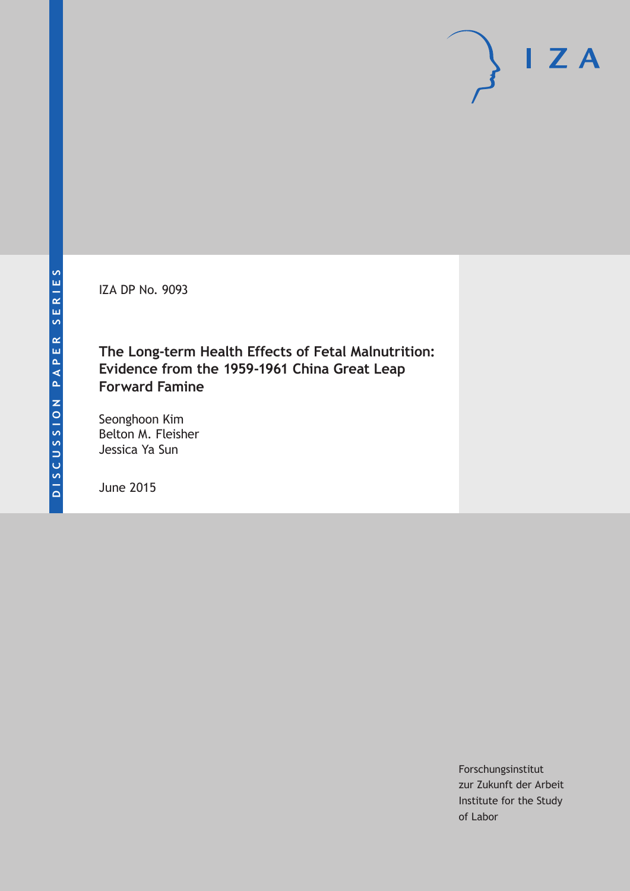IZA DP No. 9093

**The Long-term Health Effects of Fetal Malnutrition: Evidence from the 1959-1961 China Great Leap Forward Famine**

Seonghoon Kim Belton M. Fleisher Jessica Ya Sun

June 2015

Forschungsinstitut zur Zukunft der Arbeit Institute for the Study of Labor

 $I Z A$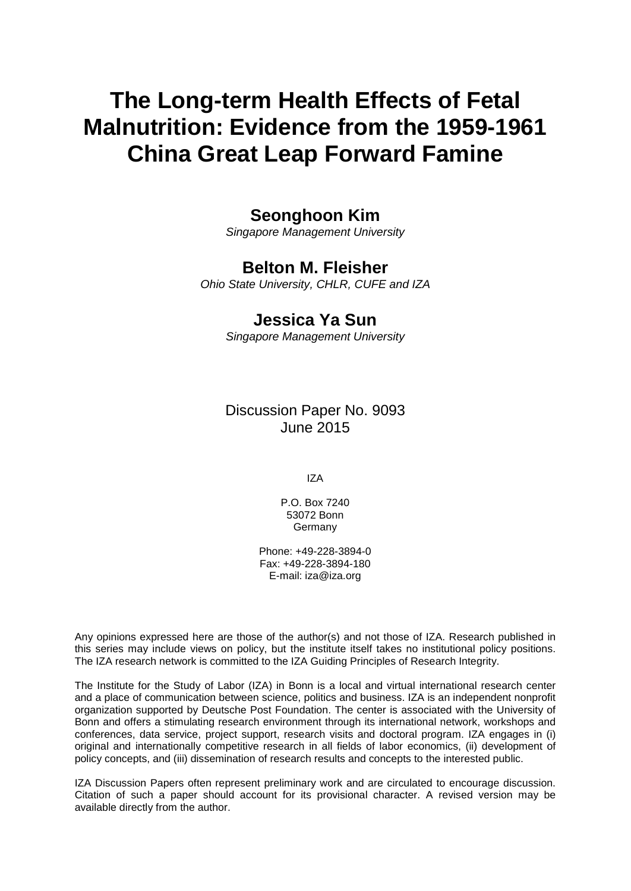# **The Long-term Health Effects of Fetal Malnutrition: Evidence from the 1959-1961 China Great Leap Forward Famine**

# **Seonghoon Kim**

*Singapore Management University*

### **Belton M. Fleisher**

*Ohio State University, CHLR, CUFE and IZA*

## **Jessica Ya Sun**

*Singapore Management University*

Discussion Paper No. 9093 June 2015

IZA

P.O. Box 7240 53072 Bonn Germany

Phone: +49-228-3894-0 Fax: +49-228-3894-180 E-mail: iza@iza.org

Any opinions expressed here are those of the author(s) and not those of IZA. Research published in this series may include views on policy, but the institute itself takes no institutional policy positions. The IZA research network is committed to the IZA Guiding Principles of Research Integrity.

The Institute for the Study of Labor (IZA) in Bonn is a local and virtual international research center and a place of communication between science, politics and business. IZA is an independent nonprofit organization supported by Deutsche Post Foundation. The center is associated with the University of Bonn and offers a stimulating research environment through its international network, workshops and conferences, data service, project support, research visits and doctoral program. IZA engages in (i) original and internationally competitive research in all fields of labor economics, (ii) development of policy concepts, and (iii) dissemination of research results and concepts to the interested public.

<span id="page-1-0"></span>IZA Discussion Papers often represent preliminary work and are circulated to encourage discussion. Citation of such a paper should account for its provisional character. A revised version may be available directly from the author.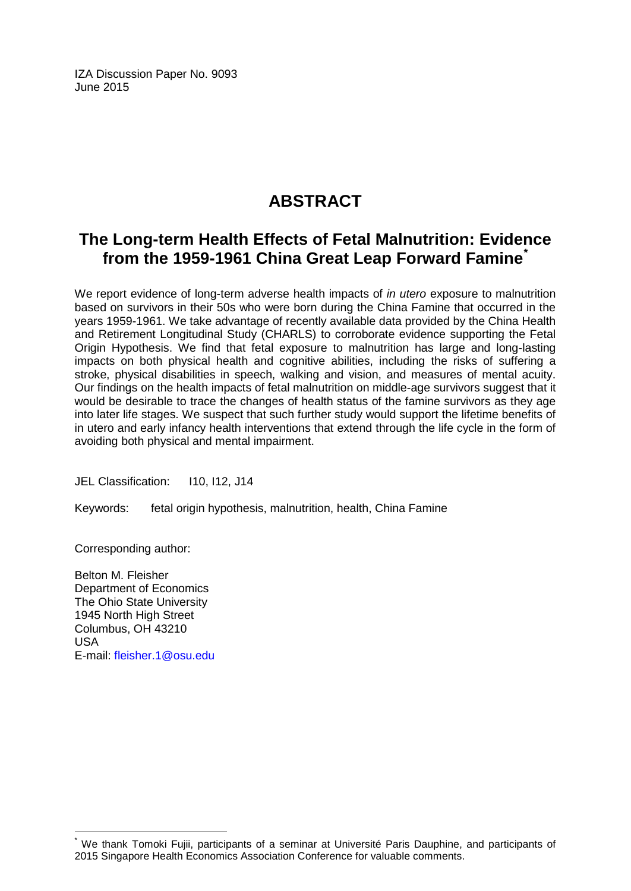IZA Discussion Paper No. 9093 June 2015

# **ABSTRACT**

# **The Long-term Health Effects of Fetal Malnutrition: Evidence from the 1959-1961 China Great Leap Forward Famine[\\*](#page-1-0)**

We report evidence of long-term adverse health impacts of *in utero* exposure to malnutrition based on survivors in their 50s who were born during the China Famine that occurred in the years 1959-1961. We take advantage of recently available data provided by the China Health and Retirement Longitudinal Study (CHARLS) to corroborate evidence supporting the Fetal Origin Hypothesis. We find that fetal exposure to malnutrition has large and long-lasting impacts on both physical health and cognitive abilities, including the risks of suffering a stroke, physical disabilities in speech, walking and vision, and measures of mental acuity. Our findings on the health impacts of fetal malnutrition on middle-age survivors suggest that it would be desirable to trace the changes of health status of the famine survivors as they age into later life stages. We suspect that such further study would support the lifetime benefits of in utero and early infancy health interventions that extend through the life cycle in the form of avoiding both physical and mental impairment.

JEL Classification: I10, I12, J14

Keywords: fetal origin hypothesis, malnutrition, health, China Famine

Corresponding author:

Belton M. Fleisher Department of Economics The Ohio State University 1945 North High Street Columbus, OH 43210 USA E-mail: [fleisher.1@osu.edu](mailto:fleisher.1@osu.edu)

We thank Tomoki Fujii, participants of a seminar at Université Paris Dauphine, and participants of 2015 Singapore Health Economics Association Conference for valuable comments.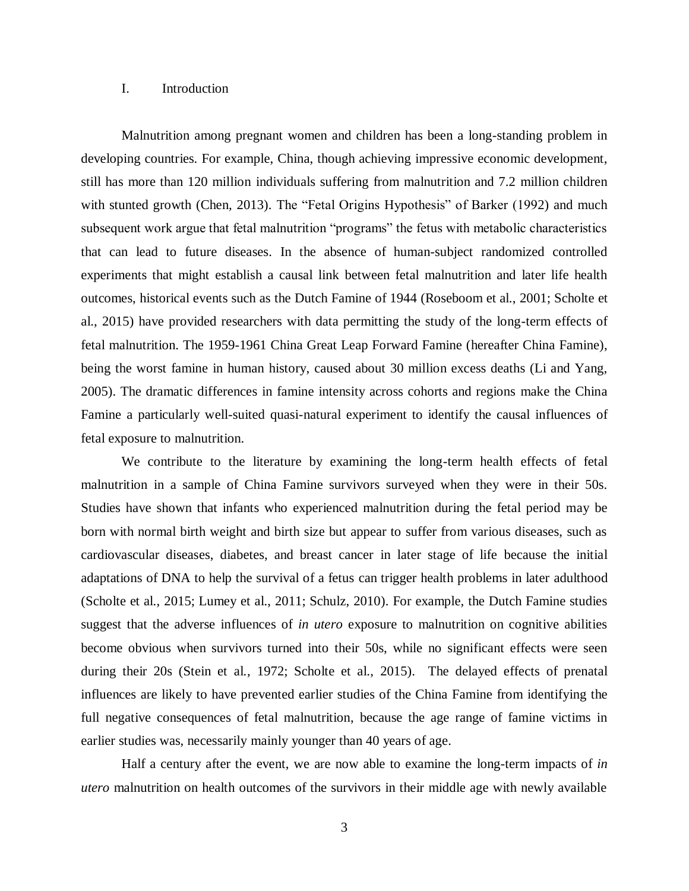#### I. Introduction

Malnutrition among pregnant women and children has been a long-standing problem in developing countries. For example, China, though achieving impressive economic development, still has more than 120 million individuals suffering from malnutrition and 7.2 million children with stunted growth (Chen, 2013). The "Fetal Origins Hypothesis" of Barker (1992) and much subsequent work argue that fetal malnutrition "programs" the fetus with metabolic characteristics that can lead to future diseases. In the absence of human-subject randomized controlled experiments that might establish a causal link between fetal malnutrition and later life health outcomes, historical events such as the Dutch Famine of 1944 (Roseboom et al., 2001; Scholte et al., 2015) have provided researchers with data permitting the study of the long-term effects of fetal malnutrition. The 1959-1961 China Great Leap Forward Famine (hereafter China Famine), being the worst famine in human history, caused about 30 million excess deaths (Li and Yang, 2005). The dramatic differences in famine intensity across cohorts and regions make the China Famine a particularly well-suited quasi-natural experiment to identify the causal influences of fetal exposure to malnutrition.

We contribute to the literature by examining the long-term health effects of fetal malnutrition in a sample of China Famine survivors surveyed when they were in their 50s. Studies have shown that infants who experienced malnutrition during the fetal period may be born with normal birth weight and birth size but appear to suffer from various diseases, such as cardiovascular diseases, diabetes, and breast cancer in later stage of life because the initial adaptations of DNA to help the survival of a fetus can trigger health problems in later adulthood (Scholte et al., 2015; Lumey et al., 2011; Schulz, 2010). For example, the Dutch Famine studies suggest that the adverse influences of *in utero* exposure to malnutrition on cognitive abilities become obvious when survivors turned into their 50s, while no significant effects were seen during their 20s (Stein et al., 1972; Scholte et al., 2015). The delayed effects of prenatal influences are likely to have prevented earlier studies of the China Famine from identifying the full negative consequences of fetal malnutrition, because the age range of famine victims in earlier studies was, necessarily mainly younger than 40 years of age.

Half a century after the event, we are now able to examine the long-term impacts of *in utero* malnutrition on health outcomes of the survivors in their middle age with newly available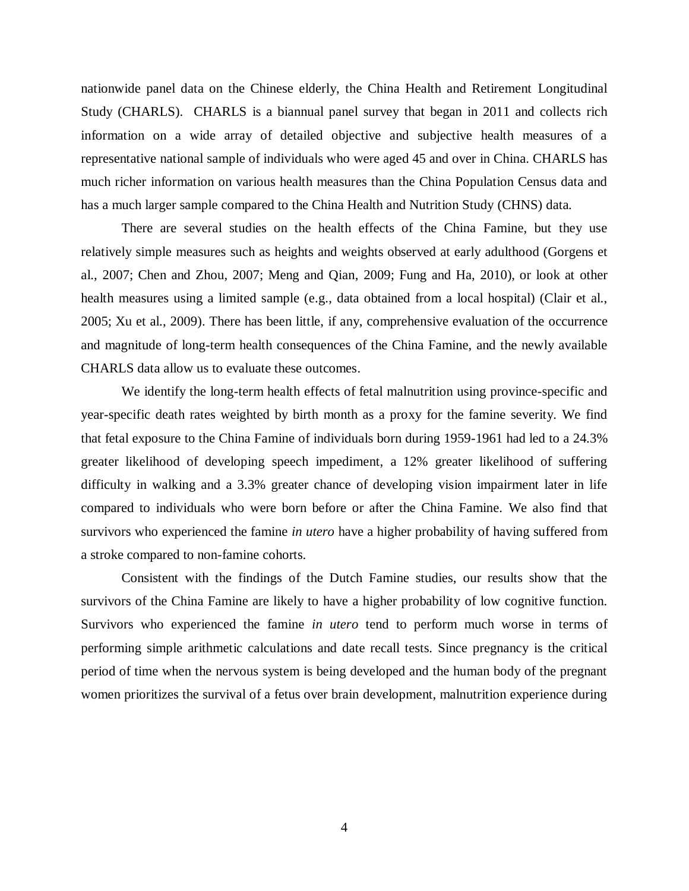nationwide panel data on the Chinese elderly, the China Health and Retirement Longitudinal Study (CHARLS). CHARLS is a biannual panel survey that began in 2011 and collects rich information on a wide array of detailed objective and subjective health measures of a representative national sample of individuals who were aged 45 and over in China. CHARLS has much richer information on various health measures than the China Population Census data and has a much larger sample compared to the China Health and Nutrition Study (CHNS) data.

There are several studies on the health effects of the China Famine, but they use relatively simple measures such as heights and weights observed at early adulthood (Gorgens et al., 2007; Chen and Zhou, 2007; Meng and Qian, 2009; Fung and Ha, 2010), or look at other health measures using a limited sample (e.g., data obtained from a local hospital) (Clair et al., 2005; Xu et al., 2009). There has been little, if any, comprehensive evaluation of the occurrence and magnitude of long-term health consequences of the China Famine, and the newly available CHARLS data allow us to evaluate these outcomes.

We identify the long-term health effects of fetal malnutrition using province-specific and year-specific death rates weighted by birth month as a proxy for the famine severity. We find that fetal exposure to the China Famine of individuals born during 1959-1961 had led to a 24.3% greater likelihood of developing speech impediment, a 12% greater likelihood of suffering difficulty in walking and a 3.3% greater chance of developing vision impairment later in life compared to individuals who were born before or after the China Famine. We also find that survivors who experienced the famine *in utero* have a higher probability of having suffered from a stroke compared to non-famine cohorts.

Consistent with the findings of the Dutch Famine studies, our results show that the survivors of the China Famine are likely to have a higher probability of low cognitive function. Survivors who experienced the famine *in utero* tend to perform much worse in terms of performing simple arithmetic calculations and date recall tests. Since pregnancy is the critical period of time when the nervous system is being developed and the human body of the pregnant women prioritizes the survival of a fetus over brain development, malnutrition experience during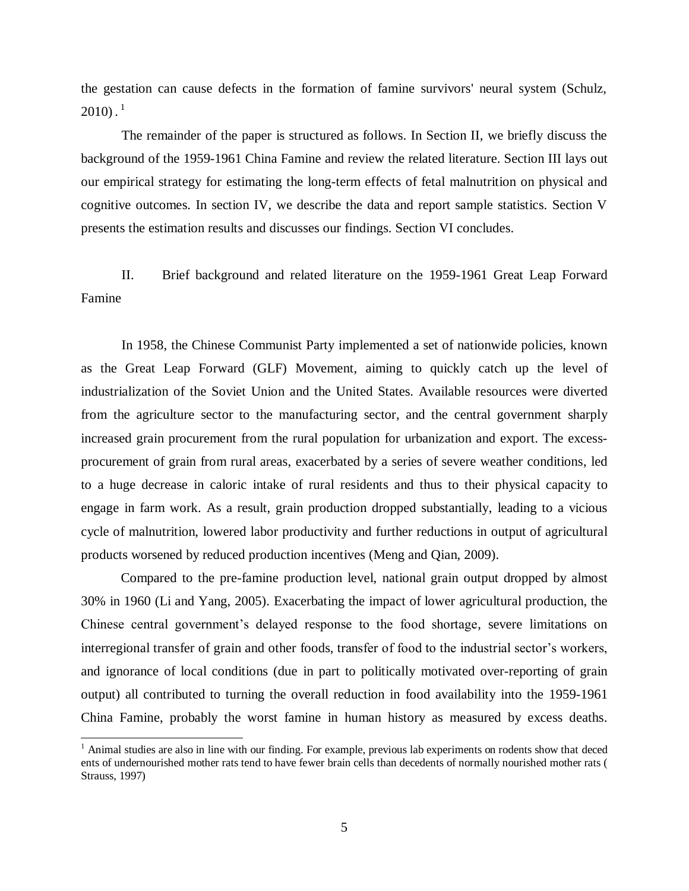the gestation can cause defects in the formation of famine survivors' neural system (Schulz, 2010). $^1$ 

The remainder of the paper is structured as follows. In Section II, we briefly discuss the background of the 1959-1961 China Famine and review the related literature. Section III lays out our empirical strategy for estimating the long-term effects of fetal malnutrition on physical and cognitive outcomes. In section IV, we describe the data and report sample statistics. Section V presents the estimation results and discusses our findings. Section VI concludes.

II. Brief background and related literature on the 1959-1961 Great Leap Forward Famine

In 1958, the Chinese Communist Party implemented a set of nationwide policies, known as the Great Leap Forward (GLF) Movement, aiming to quickly catch up the level of industrialization of the Soviet Union and the United States. Available resources were diverted from the agriculture sector to the manufacturing sector, and the central government sharply increased grain procurement from the rural population for urbanization and export. The excessprocurement of grain from rural areas, exacerbated by a series of severe weather conditions, led to a huge decrease in caloric intake of rural residents and thus to their physical capacity to engage in farm work. As a result, grain production dropped substantially, leading to a vicious cycle of malnutrition, lowered labor productivity and further reductions in output of agricultural products worsened by reduced production incentives (Meng and Qian, 2009).

Compared to the pre-famine production level, national grain output dropped by almost 30% in 1960 (Li and Yang, 2005). Exacerbating the impact of lower agricultural production, the Chinese central government's delayed response to the food shortage, severe limitations on interregional transfer of grain and other foods, transfer of food to the industrial sector's workers, and ignorance of local conditions (due in part to politically motivated over-reporting of grain output) all contributed to turning the overall reduction in food availability into the 1959-1961 China Famine, probably the worst famine in human history as measured by excess deaths.

 $<sup>1</sup>$  Animal studies are also in line with our finding. For example, previous lab experiments on rodents show that deced</sup> ents of undernourished mother rats tend to have fewer brain cells than decedents of normally nourished mother rats ( Strauss, 1997)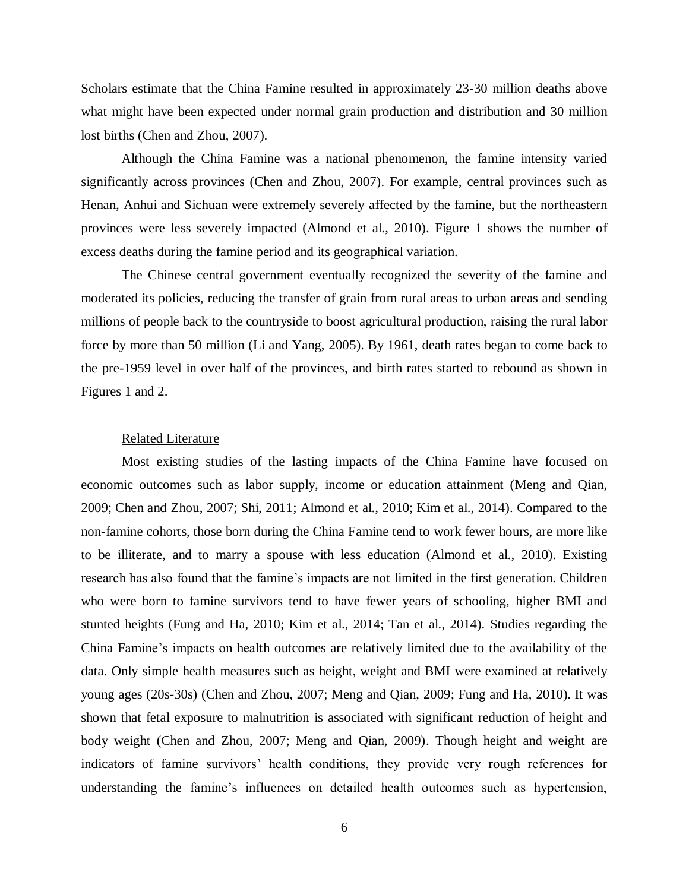Scholars estimate that the China Famine resulted in approximately 23-30 million deaths above what might have been expected under normal grain production and distribution and 30 million lost births (Chen and Zhou, 2007).

Although the China Famine was a national phenomenon, the famine intensity varied significantly across provinces (Chen and Zhou, 2007). For example, central provinces such as Henan, Anhui and Sichuan were extremely severely affected by the famine, but the northeastern provinces were less severely impacted (Almond et al., 2010). Figure 1 shows the number of excess deaths during the famine period and its geographical variation.

The Chinese central government eventually recognized the severity of the famine and moderated its policies, reducing the transfer of grain from rural areas to urban areas and sending millions of people back to the countryside to boost agricultural production, raising the rural labor force by more than 50 million (Li and Yang, 2005). By 1961, death rates began to come back to the pre-1959 level in over half of the provinces, and birth rates started to rebound as shown in Figures 1 and 2.

#### Related Literature

Most existing studies of the lasting impacts of the China Famine have focused on economic outcomes such as labor supply, income or education attainment (Meng and Qian, 2009; Chen and Zhou, 2007; Shi, 2011; Almond et al., 2010; Kim et al., 2014). Compared to the non-famine cohorts, those born during the China Famine tend to work fewer hours, are more like to be illiterate, and to marry a spouse with less education (Almond et al., 2010). Existing research has also found that the famine's impacts are not limited in the first generation. Children who were born to famine survivors tend to have fewer years of schooling, higher BMI and stunted heights (Fung and Ha, 2010; Kim et al., 2014; Tan et al., 2014). Studies regarding the China Famine's impacts on health outcomes are relatively limited due to the availability of the data. Only simple health measures such as height, weight and BMI were examined at relatively young ages (20s-30s) (Chen and Zhou, 2007; Meng and Qian, 2009; Fung and Ha, 2010). It was shown that fetal exposure to malnutrition is associated with significant reduction of height and body weight (Chen and Zhou, 2007; Meng and Qian, 2009). Though height and weight are indicators of famine survivors' health conditions, they provide very rough references for understanding the famine's influences on detailed health outcomes such as hypertension,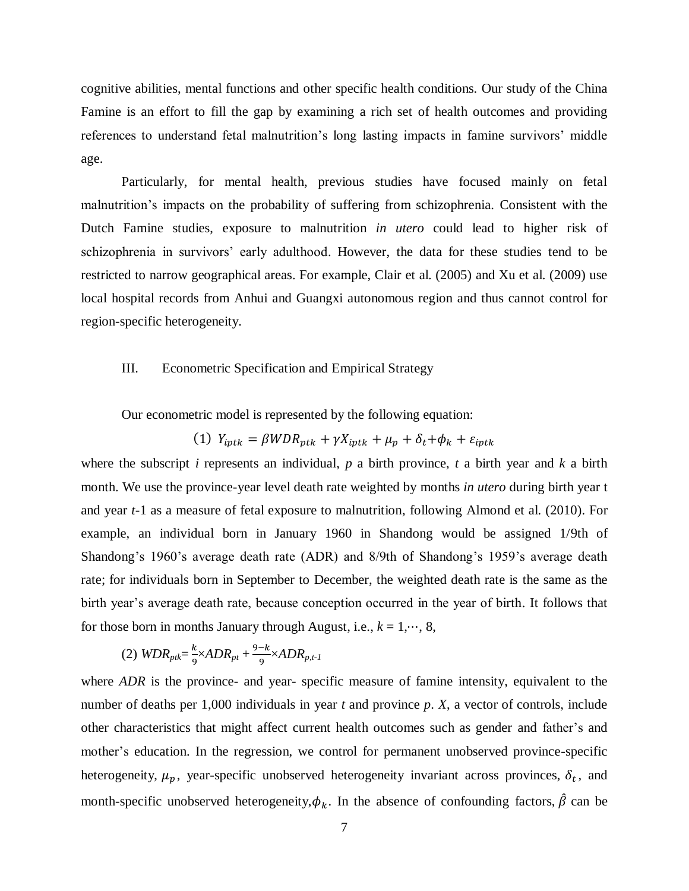cognitive abilities, mental functions and other specific health conditions. Our study of the China Famine is an effort to fill the gap by examining a rich set of health outcomes and providing references to understand fetal malnutrition's long lasting impacts in famine survivors' middle age.

Particularly, for mental health, previous studies have focused mainly on fetal malnutrition's impacts on the probability of suffering from schizophrenia. Consistent with the Dutch Famine studies, exposure to malnutrition *in utero* could lead to higher risk of schizophrenia in survivors' early adulthood. However, the data for these studies tend to be restricted to narrow geographical areas. For example, Clair et al. (2005) and Xu et al. (2009) use local hospital records from Anhui and Guangxi autonomous region and thus cannot control for region-specific heterogeneity.

#### III. Econometric Specification and Empirical Strategy

Our econometric model is represented by the following equation:

(1) 
$$
Y_{iptk} = \beta WDR_{ptk} + \gamma X_{iptk} + \mu_p + \delta_t + \phi_k + \varepsilon_{iptk}
$$

where the subscript *i* represents an individual, *p* a birth province, *t* a birth year and *k* a birth month. We use the province-year level death rate weighted by months *in utero* during birth year t and year *t*-1 as a measure of fetal exposure to malnutrition, following Almond et al. (2010). For example, an individual born in January 1960 in Shandong would be assigned 1/9th of Shandong's 1960's average death rate (ADR) and 8/9th of Shandong's 1959's average death rate; for individuals born in September to December, the weighted death rate is the same as the birth year's average death rate, because conception occurred in the year of birth. It follows that for those born in months January through August, i.e.,  $k = 1, \dots, 8$ ,

$$
(2) WDR_{pt} = \frac{k}{9} \times ADR_{pt} + \frac{9-k}{9} \times ADR_{p,t-1}
$$

where *ADR* is the province- and year- specific measure of famine intensity, equivalent to the number of deaths per 1,000 individuals in year *t* and province *p*. *X*, a vector of controls, include other characteristics that might affect current health outcomes such as gender and father's and mother's education. In the regression, we control for permanent unobserved province-specific heterogeneity,  $\mu_p$ , year-specific unobserved heterogeneity invariant across provinces,  $\delta_t$ , and month-specific unobserved heterogeneity,  $\phi_k$ . In the absence of confounding factors,  $\hat{\beta}$  can be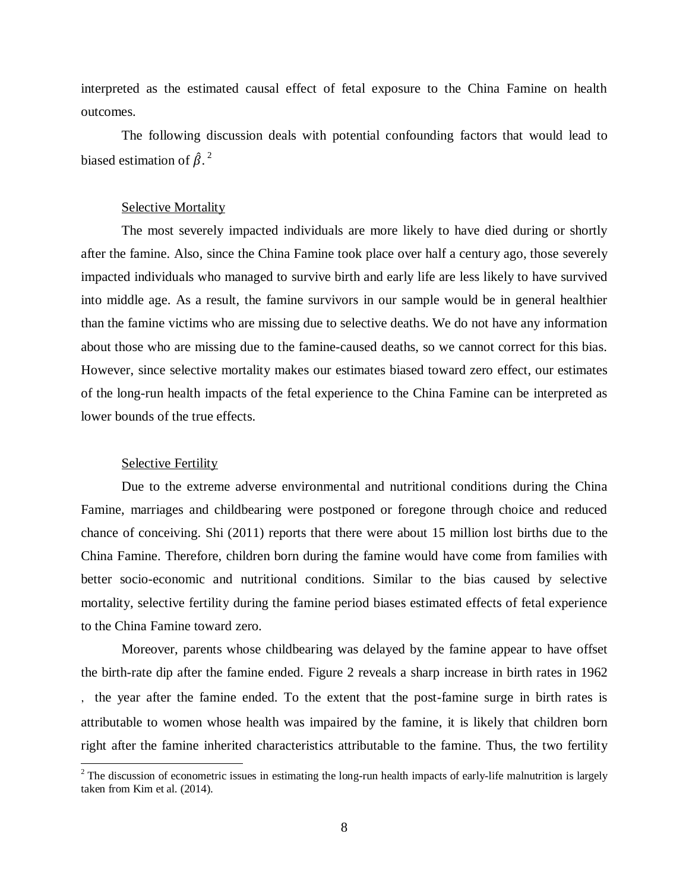interpreted as the estimated causal effect of fetal exposure to the China Famine on health outcomes.

The following discussion deals with potential confounding factors that would lead to biased estimation of  $\hat{\beta}$ .<sup>2</sup>

#### **Selective Mortality**

The most severely impacted individuals are more likely to have died during or shortly after the famine. Also, since the China Famine took place over half a century ago, those severely impacted individuals who managed to survive birth and early life are less likely to have survived into middle age. As a result, the famine survivors in our sample would be in general healthier than the famine victims who are missing due to selective deaths. We do not have any information about those who are missing due to the famine-caused deaths, so we cannot correct for this bias. However, since selective mortality makes our estimates biased toward zero effect, our estimates of the long-run health impacts of the fetal experience to the China Famine can be interpreted as lower bounds of the true effects.

#### Selective Fertility

Due to the extreme adverse environmental and nutritional conditions during the China Famine, marriages and childbearing were postponed or foregone through choice and reduced chance of conceiving. Shi (2011) reports that there were about 15 million lost births due to the China Famine. Therefore, children born during the famine would have come from families with better socio-economic and nutritional conditions. Similar to the bias caused by selective mortality, selective fertility during the famine period biases estimated effects of fetal experience to the China Famine toward zero.

Moreover, parents whose childbearing was delayed by the famine appear to have offset the birth-rate dip after the famine ended. Figure 2 reveals a sharp increase in birth rates in 1962 , the year after the famine ended. To the extent that the post-famine surge in birth rates is attributable to women whose health was impaired by the famine, it is likely that children born right after the famine inherited characteristics attributable to the famine. Thus, the two fertility

 $2$  The discussion of econometric issues in estimating the long-run health impacts of early-life malnutrition is largely taken from Kim et al. (2014).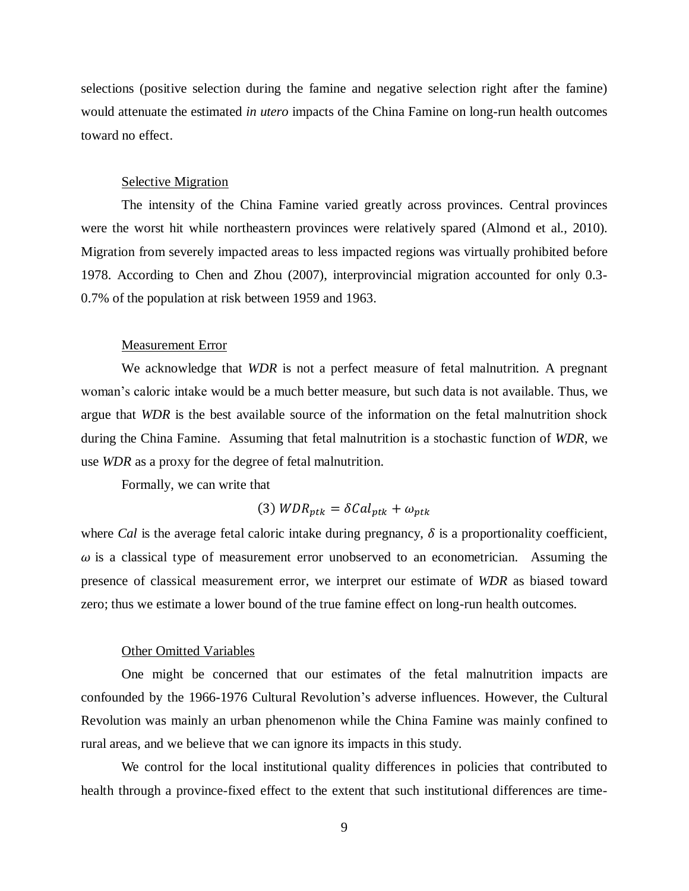selections (positive selection during the famine and negative selection right after the famine) would attenuate the estimated *in utero* impacts of the China Famine on long-run health outcomes toward no effect.

#### **Selective Migration**

 The intensity of the China Famine varied greatly across provinces. Central provinces were the worst hit while northeastern provinces were relatively spared (Almond et al., 2010). Migration from severely impacted areas to less impacted regions was virtually prohibited before 1978. According to Chen and Zhou (2007), interprovincial migration accounted for only 0.3- 0.7% of the population at risk between 1959 and 1963.

#### Measurement Error

We acknowledge that *WDR* is not a perfect measure of fetal malnutrition. A pregnant woman's caloric intake would be a much better measure, but such data is not available. Thus, we argue that *WDR* is the best available source of the information on the fetal malnutrition shock during the China Famine. Assuming that fetal malnutrition is a stochastic function of *WDR*, we use *WDR* as a proxy for the degree of fetal malnutrition.

Formally, we can write that

$$
(3) WDR_{ptk} = \delta Cal_{ptk} + \omega_{ptk}
$$

where *Cal* is the average fetal caloric intake during pregnancy,  $\delta$  is a proportionality coefficient,  $\omega$  is a classical type of measurement error unobserved to an econometrician. Assuming the presence of classical measurement error, we interpret our estimate of *WDR* as biased toward zero; thus we estimate a lower bound of the true famine effect on long-run health outcomes.

#### Other Omitted Variables

 One might be concerned that our estimates of the fetal malnutrition impacts are confounded by the 1966-1976 Cultural Revolution's adverse influences. However, the Cultural Revolution was mainly an urban phenomenon while the China Famine was mainly confined to rural areas, and we believe that we can ignore its impacts in this study.

We control for the local institutional quality differences in policies that contributed to health through a province-fixed effect to the extent that such institutional differences are time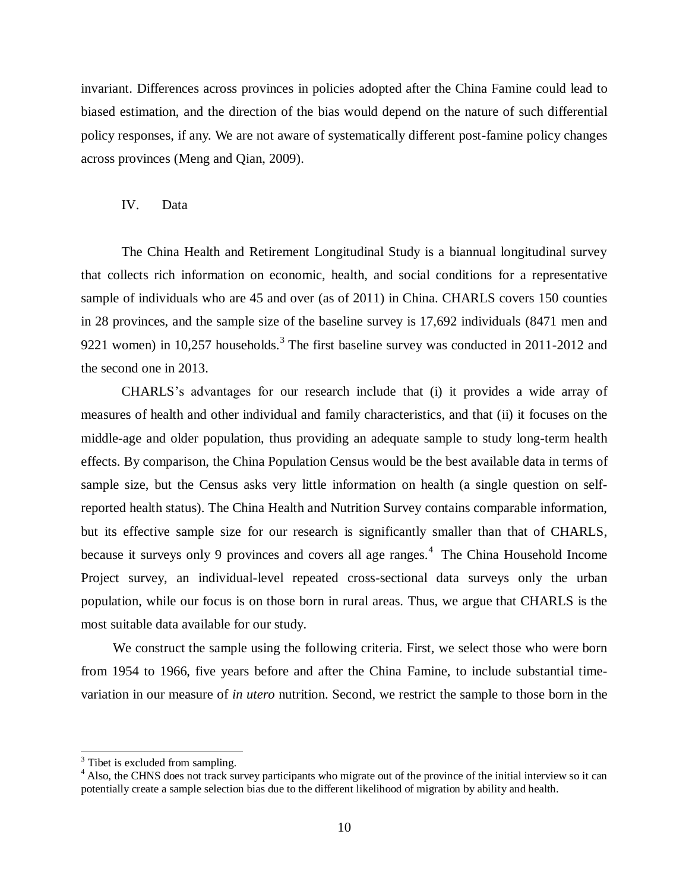invariant. Differences across provinces in policies adopted after the China Famine could lead to biased estimation, and the direction of the bias would depend on the nature of such differential policy responses, if any. We are not aware of systematically different post-famine policy changes across provinces (Meng and Qian, 2009).

#### IV. Data

The China Health and Retirement Longitudinal Study is a biannual longitudinal survey that collects rich information on economic, health, and social conditions for a representative sample of individuals who are 45 and over (as of 2011) in China. CHARLS covers 150 counties in 28 provinces, and the sample size of the baseline survey is 17,692 individuals (8471 men and 9221 women) in 10,257 households.<sup>3</sup> The first baseline survey was conducted in 2011-2012 and the second one in 2013.

CHARLS's advantages for our research include that (i) it provides a wide array of measures of health and other individual and family characteristics, and that (ii) it focuses on the middle-age and older population, thus providing an adequate sample to study long-term health effects. By comparison, the China Population Census would be the best available data in terms of sample size, but the Census asks very little information on health (a single question on selfreported health status). The China Health and Nutrition Survey contains comparable information, but its effective sample size for our research is significantly smaller than that of CHARLS, because it surveys only 9 provinces and covers all age ranges.<sup>4</sup> The China Household Income Project survey, an individual-level repeated cross-sectional data surveys only the urban population, while our focus is on those born in rural areas. Thus, we argue that CHARLS is the most suitable data available for our study.

We construct the sample using the following criteria. First, we select those who were born from 1954 to 1966, five years before and after the China Famine, to include substantial timevariation in our measure of *in utero* nutrition. Second, we restrict the sample to those born in the

 $\overline{a}$ 

 $3$  Tibet is excluded from sampling.

<sup>&</sup>lt;sup>4</sup> Also, the CHNS does not track survey participants who migrate out of the province of the initial interview so it can potentially create a sample selection bias due to the different likelihood of migration by ability and health.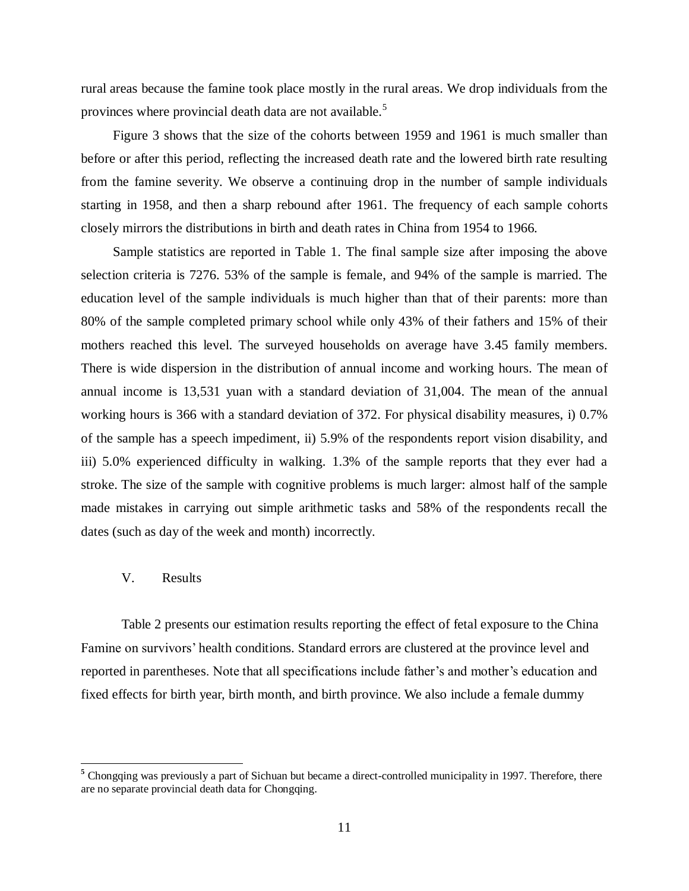rural areas because the famine took place mostly in the rural areas. We drop individuals from the provinces where provincial death data are not available.<sup>5</sup>

Figure 3 shows that the size of the cohorts between 1959 and 1961 is much smaller than before or after this period, reflecting the increased death rate and the lowered birth rate resulting from the famine severity. We observe a continuing drop in the number of sample individuals starting in 1958, and then a sharp rebound after 1961. The frequency of each sample cohorts closely mirrors the distributions in birth and death rates in China from 1954 to 1966.

Sample statistics are reported in Table 1. The final sample size after imposing the above selection criteria is 7276. 53% of the sample is female, and 94% of the sample is married. The education level of the sample individuals is much higher than that of their parents: more than 80% of the sample completed primary school while only 43% of their fathers and 15% of their mothers reached this level. The surveyed households on average have 3.45 family members. There is wide dispersion in the distribution of annual income and working hours. The mean of annual income is 13,531 yuan with a standard deviation of 31,004. The mean of the annual working hours is 366 with a standard deviation of 372. For physical disability measures, i) 0.7% of the sample has a speech impediment, ii) 5.9% of the respondents report vision disability, and iii) 5.0% experienced difficulty in walking. 1.3% of the sample reports that they ever had a stroke. The size of the sample with cognitive problems is much larger: almost half of the sample made mistakes in carrying out simple arithmetic tasks and 58% of the respondents recall the dates (such as day of the week and month) incorrectly.

#### V. Results

Table 2 presents our estimation results reporting the effect of fetal exposure to the China Famine on survivors' health conditions. Standard errors are clustered at the province level and reported in parentheses. Note that all specifications include father's and mother's education and fixed effects for birth year, birth month, and birth province. We also include a female dummy

<sup>&</sup>lt;sup>5</sup> Chongqing was previously a part of Sichuan but became a direct-controlled municipality in 1997. Therefore, there are no separate provincial death data for Chongqing.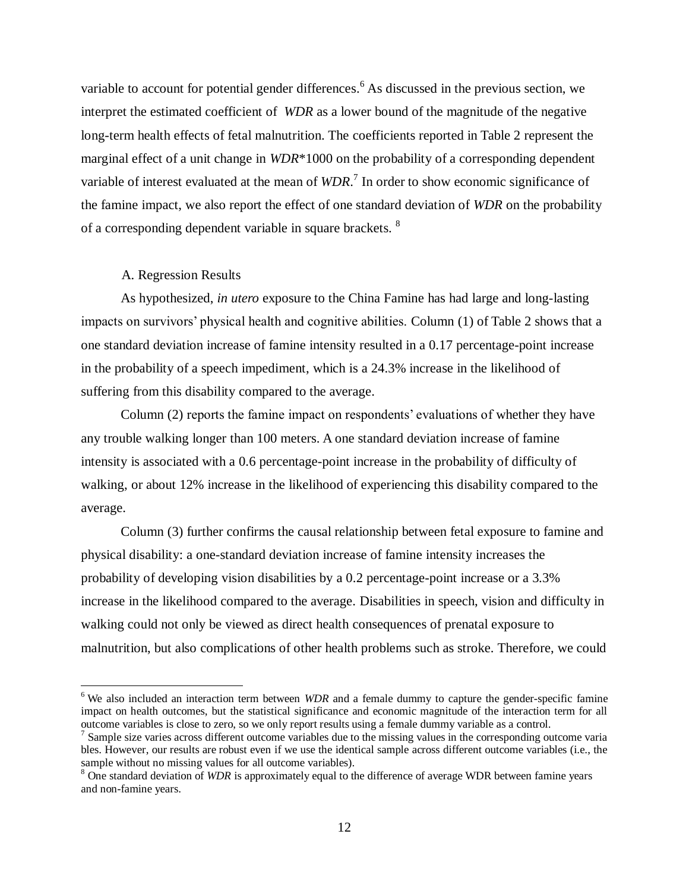variable to account for potential gender differences.<sup>6</sup> As discussed in the previous section, we interpret the estimated coefficient of *WDR* as a lower bound of the magnitude of the negative long-term health effects of fetal malnutrition. The coefficients reported in Table 2 represent the marginal effect of a unit change in *WDR*\*1000 on the probability of a corresponding dependent variable of interest evaluated at the mean of *WDR*. 7 In order to show economic significance of the famine impact, we also report the effect of one standard deviation of *WDR* on the probability of a corresponding dependent variable in square brackets. <sup>8</sup>

#### A. Regression Results

As hypothesized, *in utero* exposure to the China Famine has had large and long-lasting impacts on survivors' physical health and cognitive abilities. Column (1) of Table 2 shows that a one standard deviation increase of famine intensity resulted in a 0.17 percentage-point increase in the probability of a speech impediment, which is a 24.3% increase in the likelihood of suffering from this disability compared to the average.

Column (2) reports the famine impact on respondents' evaluations of whether they have any trouble walking longer than 100 meters. A one standard deviation increase of famine intensity is associated with a 0.6 percentage-point increase in the probability of difficulty of walking, or about 12% increase in the likelihood of experiencing this disability compared to the average.

Column (3) further confirms the causal relationship between fetal exposure to famine and physical disability: a one-standard deviation increase of famine intensity increases the probability of developing vision disabilities by a 0.2 percentage-point increase or a 3.3% increase in the likelihood compared to the average. Disabilities in speech, vision and difficulty in walking could not only be viewed as direct health consequences of prenatal exposure to malnutrition, but also complications of other health problems such as stroke. Therefore, we could

<sup>&</sup>lt;sup>6</sup> We also included an interaction term between *WDR* and a female dummy to capture the gender-specific famine impact on health outcomes, but the statistical significance and economic magnitude of the interaction term for all outcome variables is close to zero, so we only report results using a female dummy variable as a control.

<sup>&</sup>lt;sup>7</sup> Sample size varies across different outcome variables due to the missing values in the corresponding outcome varia bles. However, our results are robust even if we use the identical sample across different outcome variables (i.e., the sample without no missing values for all outcome variables).

<sup>8</sup> One standard deviation of *WDR* is approximately equal to the difference of average WDR between famine years and non-famine years.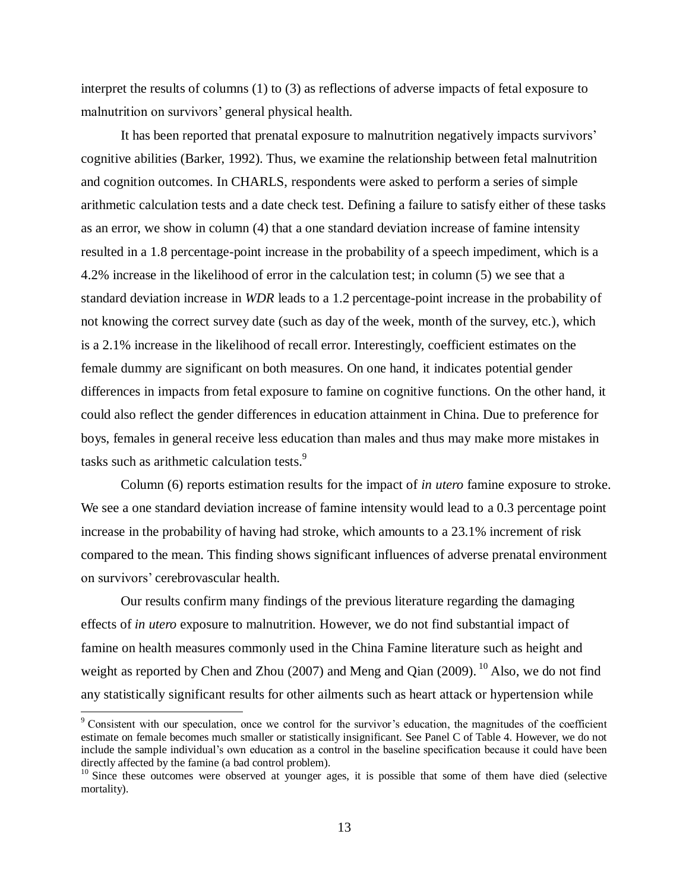interpret the results of columns (1) to (3) as reflections of adverse impacts of fetal exposure to malnutrition on survivors' general physical health.

It has been reported that prenatal exposure to malnutrition negatively impacts survivors' cognitive abilities (Barker, 1992). Thus, we examine the relationship between fetal malnutrition and cognition outcomes. In CHARLS, respondents were asked to perform a series of simple arithmetic calculation tests and a date check test. Defining a failure to satisfy either of these tasks as an error, we show in column (4) that a one standard deviation increase of famine intensity resulted in a 1.8 percentage-point increase in the probability of a speech impediment, which is a 4.2% increase in the likelihood of error in the calculation test; in column (5) we see that a standard deviation increase in *WDR* leads to a 1.2 percentage-point increase in the probability of not knowing the correct survey date (such as day of the week, month of the survey, etc.), which is a 2.1% increase in the likelihood of recall error. Interestingly, coefficient estimates on the female dummy are significant on both measures. On one hand, it indicates potential gender differences in impacts from fetal exposure to famine on cognitive functions. On the other hand, it could also reflect the gender differences in education attainment in China. Due to preference for boys, females in general receive less education than males and thus may make more mistakes in tasks such as arithmetic calculation tests.<sup>9</sup>

Column (6) reports estimation results for the impact of *in utero* famine exposure to stroke. We see a one standard deviation increase of famine intensity would lead to a 0.3 percentage point increase in the probability of having had stroke, which amounts to a 23.1% increment of risk compared to the mean. This finding shows significant influences of adverse prenatal environment on survivors' cerebrovascular health.

Our results confirm many findings of the previous literature regarding the damaging effects of *in utero* exposure to malnutrition. However, we do not find substantial impact of famine on health measures commonly used in the China Famine literature such as height and weight as reported by Chen and Zhou  $(2007)$  and Meng and Qian  $(2009)$ . <sup>10</sup> Also, we do not find any statistically significant results for other ailments such as heart attack or hypertension while

l

<sup>9</sup> Consistent with our speculation, once we control for the survivor's education, the magnitudes of the coefficient estimate on female becomes much smaller or statistically insignificant. See Panel C of Table 4. However, we do not include the sample individual's own education as a control in the baseline specification because it could have been directly affected by the famine (a bad control problem).

<sup>&</sup>lt;sup>10</sup> Since these outcomes were observed at younger ages, it is possible that some of them have died (selective mortality).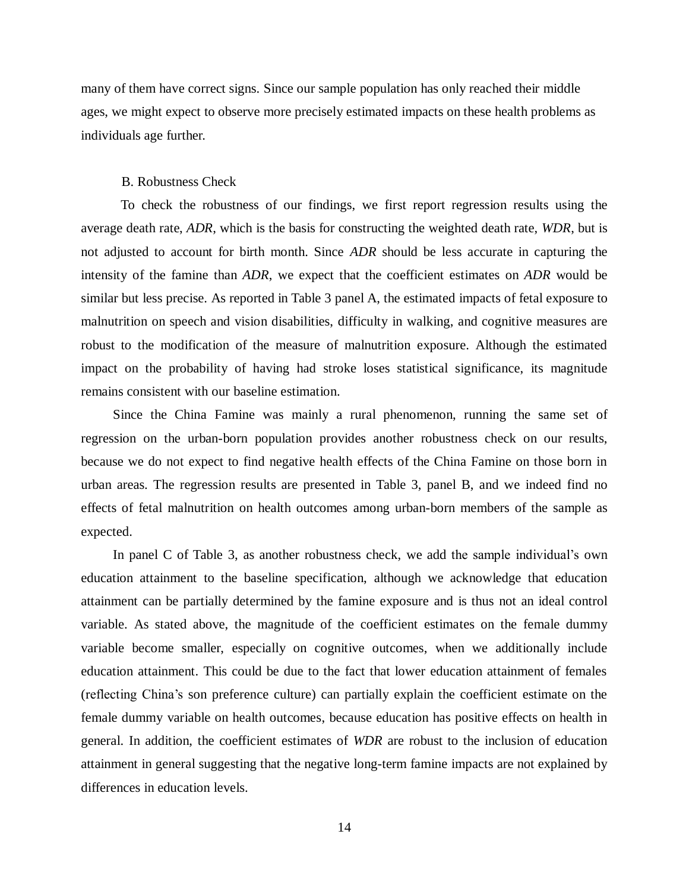many of them have correct signs. Since our sample population has only reached their middle ages, we might expect to observe more precisely estimated impacts on these health problems as individuals age further.

#### B. Robustness Check

To check the robustness of our findings, we first report regression results using the average death rate, *ADR*, which is the basis for constructing the weighted death rate, *WDR*, but is not adjusted to account for birth month. Since *ADR* should be less accurate in capturing the intensity of the famine than *ADR*, we expect that the coefficient estimates on *ADR* would be similar but less precise. As reported in Table 3 panel A, the estimated impacts of fetal exposure to malnutrition on speech and vision disabilities, difficulty in walking, and cognitive measures are robust to the modification of the measure of malnutrition exposure. Although the estimated impact on the probability of having had stroke loses statistical significance, its magnitude remains consistent with our baseline estimation.

Since the China Famine was mainly a rural phenomenon, running the same set of regression on the urban-born population provides another robustness check on our results, because we do not expect to find negative health effects of the China Famine on those born in urban areas. The regression results are presented in Table 3, panel B, and we indeed find no effects of fetal malnutrition on health outcomes among urban-born members of the sample as expected.

In panel C of Table 3, as another robustness check, we add the sample individual's own education attainment to the baseline specification, although we acknowledge that education attainment can be partially determined by the famine exposure and is thus not an ideal control variable. As stated above, the magnitude of the coefficient estimates on the female dummy variable become smaller, especially on cognitive outcomes, when we additionally include education attainment. This could be due to the fact that lower education attainment of females (reflecting China's son preference culture) can partially explain the coefficient estimate on the female dummy variable on health outcomes, because education has positive effects on health in general. In addition, the coefficient estimates of *WDR* are robust to the inclusion of education attainment in general suggesting that the negative long-term famine impacts are not explained by differences in education levels.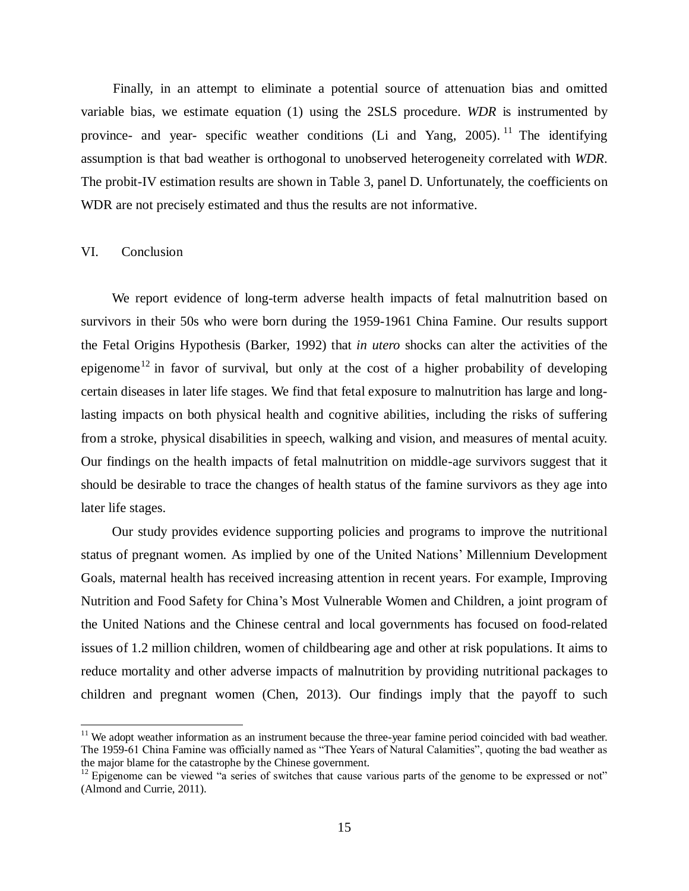Finally, in an attempt to eliminate a potential source of attenuation bias and omitted variable bias, we estimate equation (1) using the 2SLS procedure. *WDR* is instrumented by province- and year- specific weather conditions (Li and Yang, 2005).<sup>11</sup> The identifying assumption is that bad weather is orthogonal to unobserved heterogeneity correlated with *WDR*. The probit-IV estimation results are shown in Table 3, panel D. Unfortunately, the coefficients on WDR are not precisely estimated and thus the results are not informative.

#### VI. Conclusion

We report evidence of long-term adverse health impacts of fetal malnutrition based on survivors in their 50s who were born during the 1959-1961 China Famine. Our results support the Fetal Origins Hypothesis (Barker, 1992) that *in utero* shocks can alter the activities of the epigenome<sup>12</sup> in favor of survival, but only at the cost of a higher probability of developing certain diseases in later life stages. We find that fetal exposure to malnutrition has large and longlasting impacts on both physical health and cognitive abilities, including the risks of suffering from a stroke, physical disabilities in speech, walking and vision, and measures of mental acuity. Our findings on the health impacts of fetal malnutrition on middle-age survivors suggest that it should be desirable to trace the changes of health status of the famine survivors as they age into later life stages.

Our study provides evidence supporting policies and programs to improve the nutritional status of pregnant women. As implied by one of the United Nations' Millennium Development Goals, maternal health has received increasing attention in recent years. For example, Improving Nutrition and Food Safety for China's Most Vulnerable Women and Children, a joint program of the United Nations and the Chinese central and local governments has focused on food-related issues of 1.2 million children, women of childbearing age and other at risk populations. It aims to reduce mortality and other adverse impacts of malnutrition by providing nutritional packages to children and pregnant women (Chen, 2013). Our findings imply that the payoff to such

 $11$  We adopt weather information as an instrument because the three-year famine period coincided with bad weather. The 1959-61 China Famine was officially named as "Thee Years of Natural Calamities", quoting the bad weather as the major blame for the catastrophe by the Chinese government.

<sup>&</sup>lt;sup>12</sup> Epigenome can be viewed "a series of switches that cause various parts of the genome to be expressed or not" (Almond and Currie, 2011).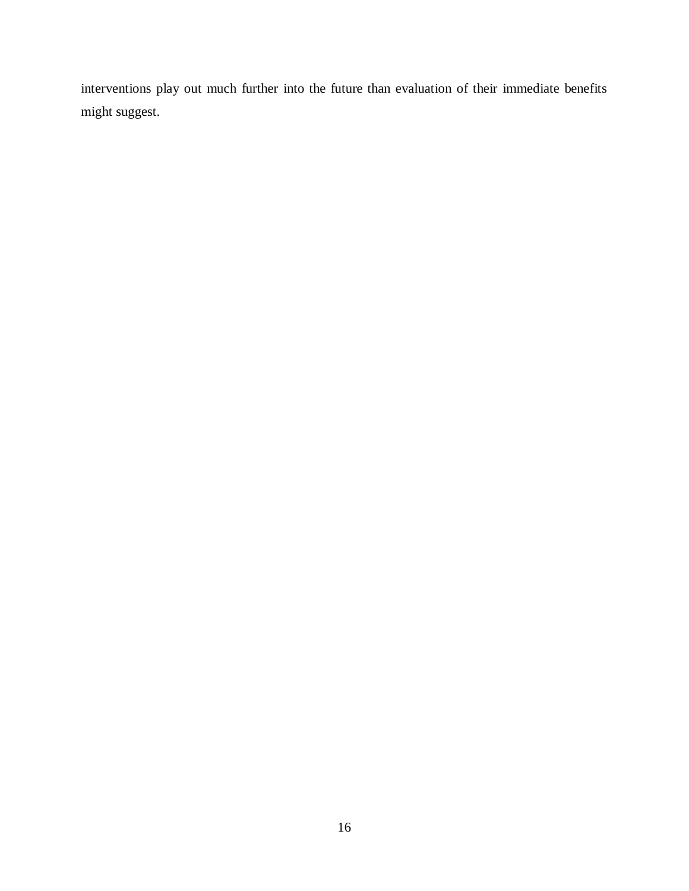interventions play out much further into the future than evaluation of their immediate benefits might suggest.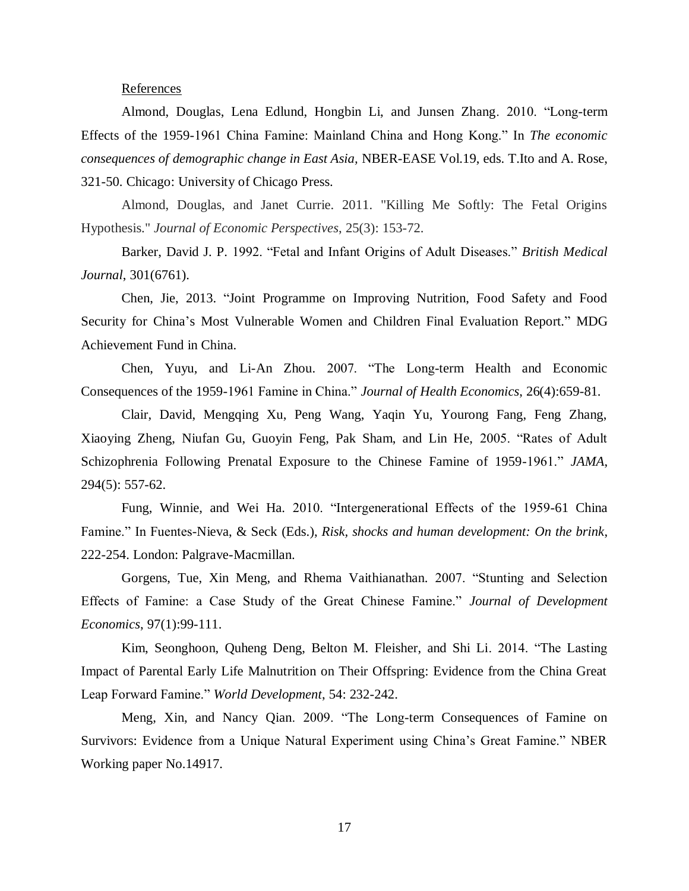#### References

Almond, Douglas, Lena Edlund, Hongbin Li, and Junsen Zhang. 2010. "Long-term Effects of the 1959-1961 China Famine: Mainland China and Hong Kong." In *The economic consequences of demographic change in East Asia,* NBER-EASE Vol.19, eds. T.Ito and A. Rose, 321-50. Chicago: University of Chicago Press.

Almond, Douglas, and Janet Currie. 2011. "Killing Me Softly: The Fetal Origins Hypothesis." *Journal of Economic Perspectives*, 25(3): 153-72.

Barker, David J. P. 1992. "Fetal and Infant Origins of Adult Diseases." *British Medical Journal*, 301(6761).

Chen, Jie, 2013. "Joint Programme on Improving Nutrition, Food Safety and Food Security for China's Most Vulnerable Women and Children Final Evaluation Report." MDG Achievement Fund in China.

Chen, Yuyu, and Li-An Zhou. 2007. "The Long-term Health and Economic Consequences of the 1959-1961 Famine in China." *Journal of Health Economics*, 26(4):659-81.

Clair, David, Mengqing Xu, Peng Wang, Yaqin Yu, Yourong Fang, Feng Zhang, Xiaoying Zheng, Niufan Gu, Guoyin Feng, Pak Sham, and Lin He, 2005. "Rates of Adult Schizophrenia Following Prenatal Exposure to the Chinese Famine of 1959-1961." *JAMA*, 294(5): 557-62.

Fung, Winnie, and Wei Ha. 2010. "Intergenerational Effects of the 1959-61 China Famine." In Fuentes-Nieva, & Seck (Eds.), *Risk, shocks and human development: On the brink*, 222-254. London: Palgrave-Macmillan.

Gorgens, Tue, Xin Meng, and Rhema Vaithianathan. 2007. "Stunting and Selection Effects of Famine: a Case Study of the Great Chinese Famine." *Journal of Development Economics*, 97(1):99-111.

Kim, Seonghoon, Quheng Deng, Belton M. Fleisher, and Shi Li. 2014. "The Lasting Impact of Parental Early Life Malnutrition on Their Offspring: Evidence from the China Great Leap Forward Famine." *World Development*, 54: 232-242.

Meng, Xin, and Nancy Qian. 2009. "The Long-term Consequences of Famine on Survivors: Evidence from a Unique Natural Experiment using China's Great Famine." NBER Working paper No.14917.

17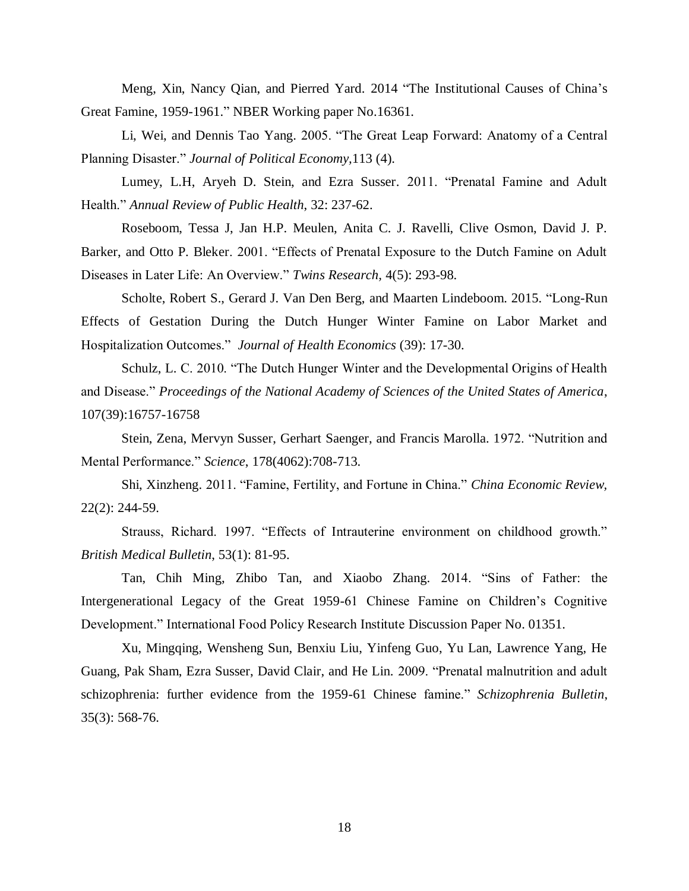Meng, Xin, Nancy Qian, and Pierred Yard. 2014 "The Institutional Causes of China's Great Famine, 1959-1961." NBER Working paper No.16361.

Li, Wei, and Dennis Tao Yang. 2005. "The Great Leap Forward: Anatomy of a Central Planning Disaster." *Journal of Political Economy,*113 (4).

Lumey, L.H, Aryeh D. Stein, and Ezra Susser. 2011. "Prenatal Famine and Adult Health." *Annual Review of Public Health*, 32: 237-62.

Roseboom, Tessa J, Jan H.P. Meulen, Anita C. J. Ravelli, Clive Osmon, David J. P. Barker, and Otto P. Bleker. 2001. "Effects of Prenatal Exposure to the Dutch Famine on Adult Diseases in Later Life: An Overview." *Twins Research,* 4(5): 293-98.

Scholte, Robert S., Gerard J. Van Den Berg, and Maarten Lindeboom. 2015. "Long-Run Effects of Gestation During the Dutch Hunger Winter Famine on Labor Market and Hospitalization Outcomes." *Journal of Health Economics* (39): 17-30.

Schulz, L. C. 2010. "The Dutch Hunger Winter and the Developmental Origins of Health and Disease." *Proceedings of the National Academy of Sciences of the United States of America*, 107(39):16757-16758

Stein, Zena, Mervyn Susser, Gerhart Saenger, and Francis Marolla. 1972. "Nutrition and Mental Performance." *Science*, 178(4062):708-713.

Shi, Xinzheng. 2011. "Famine, Fertility, and Fortune in China." *China Economic Review,*  22(2): 244-59.

Strauss, Richard. 1997. "Effects of Intrauterine environment on childhood growth." *British Medical Bulletin*, 53(1): 81-95.

Tan, Chih Ming, Zhibo Tan, and Xiaobo Zhang. 2014. "Sins of Father: the Intergenerational Legacy of the Great 1959-61 Chinese Famine on Children's Cognitive Development." International Food Policy Research Institute Discussion Paper No. 01351.

Xu, Mingqing, Wensheng Sun, Benxiu Liu, Yinfeng Guo, Yu Lan, Lawrence Yang, He Guang, Pak Sham, Ezra Susser, David Clair, and He Lin. 2009. "Prenatal malnutrition and adult schizophrenia: further evidence from the 1959-61 Chinese famine." *Schizophrenia Bulletin*, 35(3): 568-76.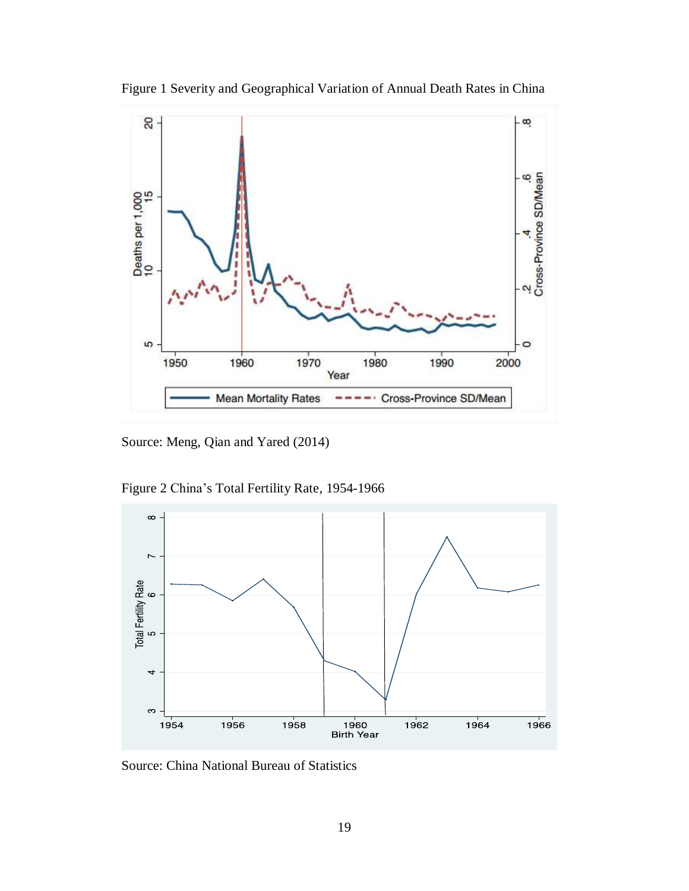

Figure 1 Severity and Geographical Variation of Annual Death Rates in China

Source: Meng, Qian and Yared (2014)

Figure 2 China's Total Fertility Rate, 1954-1966



Source: China National Bureau of Statistics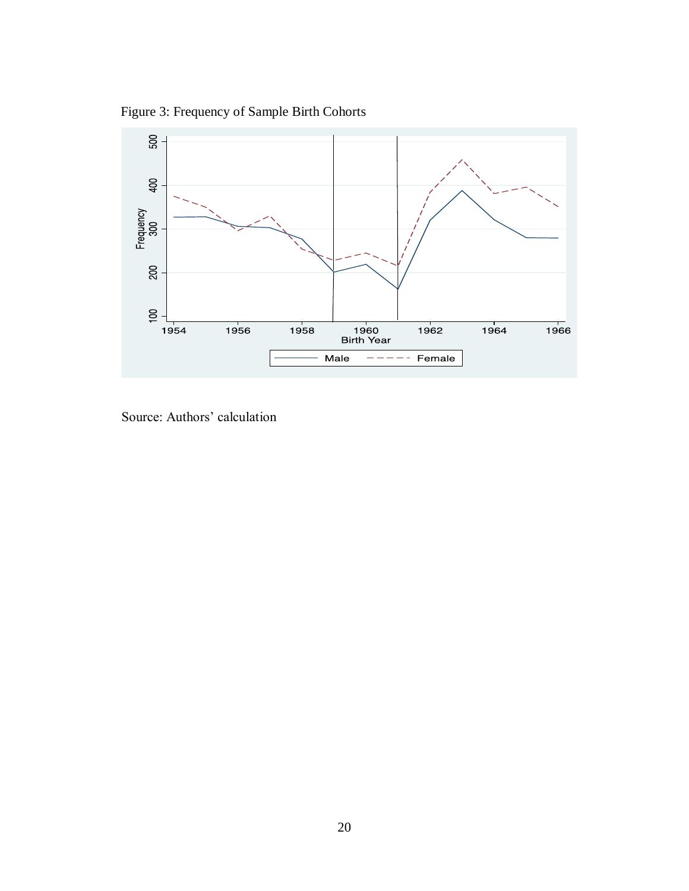Figure 3: Frequency of Sample Birth Cohorts



Source: Authors' calculation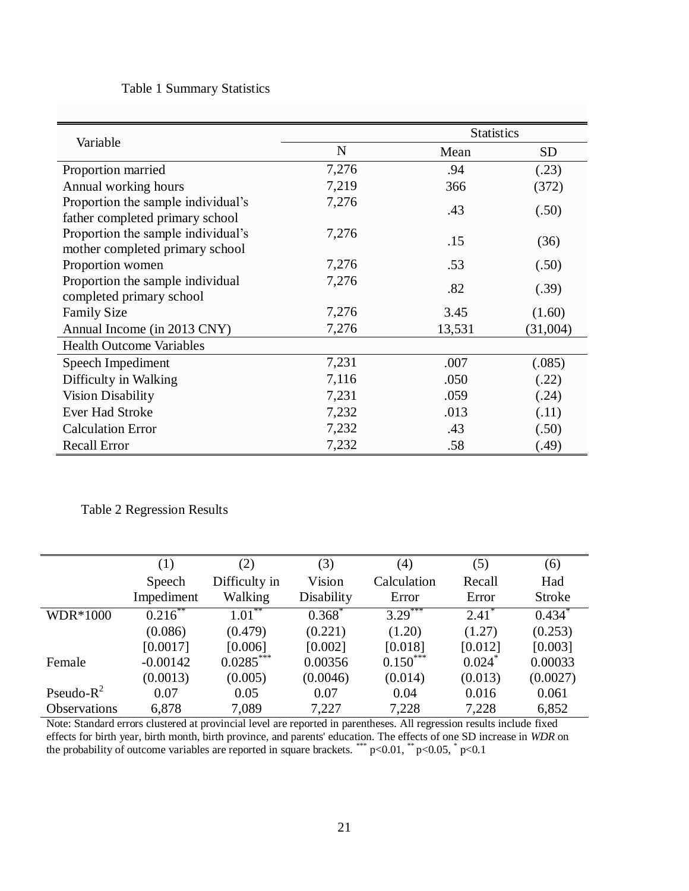### Table 1 Summary Statistics

|                                    | <b>Statistics</b> |        |                 |  |
|------------------------------------|-------------------|--------|-----------------|--|
| Variable                           | $\mathbf N$       | Mean   | SD <sub>1</sub> |  |
| Proportion married                 | 7,276             | .94    | (.23)           |  |
| Annual working hours               | 7,219             | 366    | (372)           |  |
| Proportion the sample individual's | 7,276             | .43    |                 |  |
| father completed primary school    |                   |        | (.50)           |  |
| Proportion the sample individual's | 7,276             | .15    | (36)            |  |
| mother completed primary school    |                   |        |                 |  |
| Proportion women                   | 7,276             | .53    | (.50)           |  |
| Proportion the sample individual   | 7,276<br>.82      |        | (.39)           |  |
| completed primary school           |                   |        |                 |  |
| <b>Family Size</b>                 | 7,276             | 3.45   | (1.60)          |  |
| Annual Income (in 2013 CNY)        | 7,276             | 13,531 | (31,004)        |  |
| <b>Health Outcome Variables</b>    |                   |        |                 |  |
| Speech Impediment                  | 7,231             | .007   | (.085)          |  |
| Difficulty in Walking              | 7,116             | .050   | (.22)           |  |
| <b>Vision Disability</b>           | 7,231             | .059   | (.24)           |  |
| <b>Ever Had Stroke</b>             | 7,232             | .013   | (.11)           |  |
| <b>Calculation Error</b>           | 7,232             | .43    | (.50)           |  |
| <b>Recall Error</b>                | 7,232             | .58    | (.49)           |  |

Table 2 Regression Results

|                     | (1)        | (2)           | (3)        | (4)                      | (5)                  | (6)                  |
|---------------------|------------|---------------|------------|--------------------------|----------------------|----------------------|
|                     | Speech     | Difficulty in | Vision     | Calculation              | Recall               | Had                  |
|                     | Impediment | Walking       | Disability | Error                    | Error                | <b>Stroke</b>        |
| WDR*1000            | $0.216$ ** | $1.01***$     | $0.368*$   | ***<br>$3.29^{^{\circ}}$ | $2.41^*$             | $0.434$ <sup>*</sup> |
|                     | (0.086)    | (0.479)       | (0.221)    | (1.20)                   | (1.27)               | (0.253)              |
|                     | [0.0017]   | [0.006]       | [0.002]    | [0.018]                  | [0.012]              | [0.003]              |
| Female              | $-0.00142$ | $0.0285***$   | 0.00356    | $0.150***$               | $0.024$ <sup>*</sup> | 0.00033              |
|                     | (0.0013)   | (0.005)       | (0.0046)   | (0.014)                  | (0.013)              | (0.0027)             |
| Pseudo- $R^2$       | 0.07       | 0.05          | 0.07       | 0.04                     | 0.016                | 0.061                |
| <b>Observations</b> | 6,878      | 7,089         | 7,227      | 7,228                    | 7,228                | 6,852                |

Note: Standard errors clustered at provincial level are reported in parentheses. All regression results include fixed effects for birth year, birth month, birth province, and parents' education. The effects of one SD increase in *WDR* on the probability of outcome variables are reported in square brackets. \*\*\*  $p<0.01$ , \*\*  $p<0.05$ , \*  $p<0.1$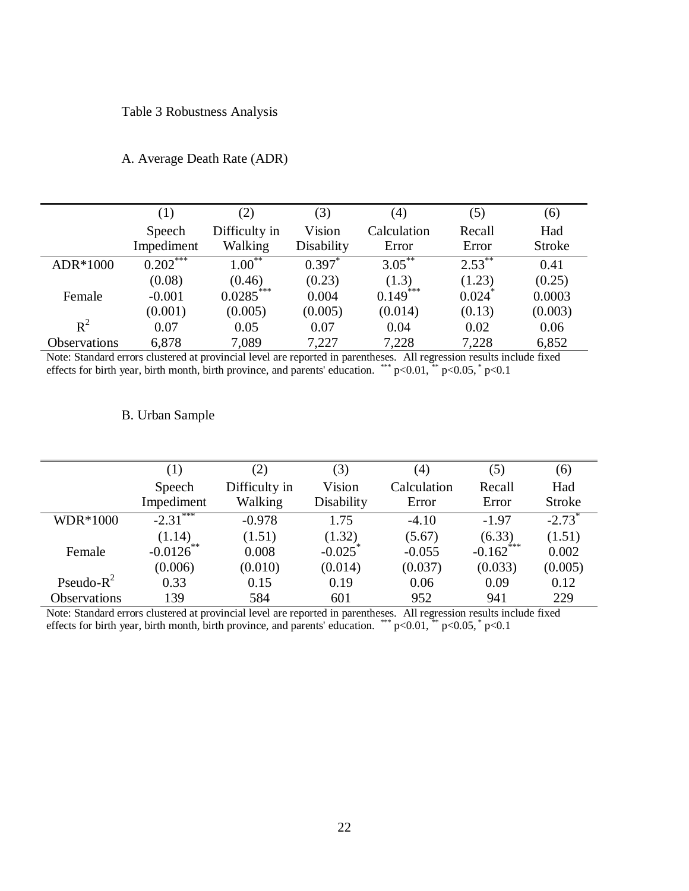#### Table 3 Robustness Analysis

|              | (1)                  | (2)                      | (3)                  | (4)                  | (5)             | (6)                  |
|--------------|----------------------|--------------------------|----------------------|----------------------|-----------------|----------------------|
|              | Speech<br>Impediment | Difficulty in<br>Walking | Vision<br>Disability | Calculation<br>Error | Recall<br>Error | Had<br><b>Stroke</b> |
| ADR*1000     | $0.202***$           | $1.00^{\degree}$         | $0.397^*$            | $3.05***$            | $2.53***$       | 0.41                 |
|              | (0.08)               | (0.46)                   | (0.23)               | (1.3)                | (1.23)          | (0.25)               |
| Female       | $-0.001$             | $0.0285***$              | 0.004                | 0.149                | 0.024           | 0.0003               |
|              | (0.001)              | (0.005)                  | (0.005)              | (0.014)              | (0.13)          | (0.003)              |
| $R^2$        | 0.07                 | 0.05                     | 0.07                 | 0.04                 | 0.02            | 0.06                 |
| Observations | 6,878                | 7,089                    | 7,227                | 7,228                | 7,228           | 6,852                |

#### A. Average Death Rate (ADR)

Note: Standard errors clustered at provincial level are reported in parentheses. All regression results include fixed effects for birth year, birth month, birth province, and parents' education. \*\*\*  $p<0.01$ , \*\*  $p<0.05$ , \*  $p<0.1$ 

#### B. Urban Sample

|                     | $\left(1\right)$ | (2)           | (3)        | (4)         | (5)          | (6)                  |
|---------------------|------------------|---------------|------------|-------------|--------------|----------------------|
|                     | Speech           | Difficulty in | Vision     | Calculation | Recall       | Had                  |
|                     | Impediment       | Walking       | Disability | Error       | Error        | <b>Stroke</b>        |
| WDR*1000            | ***<br>$-2.31$   | $-0.978$      | 1.75       | $-4.10$     | $-1.97$      | $-2.73$ <sup>*</sup> |
|                     | (1.14)           | (1.51)        | (1.32)     | (5.67)      | (6.33)       | (1.51)               |
| Female              | $-0.0126$        | 0.008         | $-0.025$   | $-0.055$    | $-0.162$ *** | 0.002                |
|                     | (0.006)          | (0.010)       | (0.014)    | (0.037)     | (0.033)      | (0.005)              |
| Pseudo- $R^2$       | 0.33             | 0.15          | 0.19       | 0.06        | 0.09         | 0.12                 |
| <b>Observations</b> | 139              | 584           | 601        | 952         | 941          | 229                  |

Note: Standard errors clustered at provincial level are reported in parentheses. All regression results include fixed effects for birth year, birth month, birth province, and parents' education. \*\*\*  $p<0.01$ , \*\*  $p<0.05$ , \*  $p<0.1$